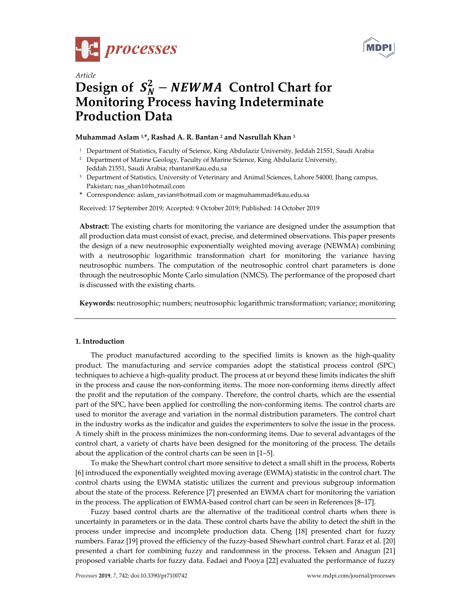



# *Article*  Design of  $S_N^2$  – *NEWMA* Control Chart for **Monitoring Process having Indeterminate Production Data**

## **Muhammad Aslam 1,\*, Rashad A. R. Bantan 2 and Nasrullah Khan 3**

- <sup>1</sup> Department of Statistics, Faculty of Science, King Abdulaziz University, Jeddah 21551, Saudi Arabia
- <sup>2</sup> Department of Marine Geology, Faculty of Marine Science, King Abdulaziz University, Jeddah 21551, Saudi Arabia; rbantan@kau.edu.sa
- <sup>3</sup> Department of Statistics, University of Veterinary and Animal Sciences, Lahore 54000, Jhang campus, Pakistan; nas\_shan1@hotmail.com
- **\*** Correspondence: aslam\_ravian@hotmail.com or magmuhammad@kau.edu.sa

Received: 17 September 2019; Accepted: 9 October 2019; Published: 14 October 2019

**Abstract:** The existing charts for monitoring the variance are designed under the assumption that all production data must consist of exact, precise, and determined observations. This paper presents the design of a new neutrosophic exponentially weighted moving average (NEWMA) combining with a neutrosophic logarithmic transformation chart for monitoring the variance having neutrosophic numbers. The computation of the neutrosophic control chart parameters is done through the neutrosophic Monte Carlo simulation (NMCS). The performance of the proposed chart is discussed with the existing charts.

**Keywords:** neutrosophic; numbers; neutrosophic logarithmic transformation; variance; monitoring

#### **1. Introduction**

The product manufactured according to the specified limits is known as the high-quality product. The manufacturing and service companies adopt the statistical process control (SPC) techniques to achieve a high-quality product. The process at or beyond these limits indicates the shift in the process and cause the non-conforming items. The more non-conforming items directly affect the profit and the reputation of the company. Therefore, the control charts, which are the essential part of the SPC, have been applied for controlling the non-conforming items. The control charts are used to monitor the average and variation in the normal distribution parameters. The control chart in the industry works as the indicator and guides the experimenters to solve the issue in the process. A timely shift in the process minimizes the non-conforming items. Due to several advantages of the control chart, a variety of charts have been designed for the monitoring of the process. The details about the application of the control charts can be seen in [1–5].

To make the Shewhart control chart more sensitive to detect a small shift in the process, Roberts [6] introduced the exponentially weighted moving average (EWMA) statistic in the control chart. The control charts using the EWMA statistic utilizes the current and previous subgroup information about the state of the process. Reference [7] presented an EWMA chart for monitoring the variation in the process. The application of EWMA-based control chart can be seen in References [8–17].

Fuzzy based control charts are the alternative of the traditional control charts when there is uncertainty in parameters or in the data. These control charts have the ability to detect the shift in the process under imprecise and incomplete production data. Cheng [18] presented chart for fuzzy numbers. Faraz [19] proved the efficiency of the fuzzy-based Shewhart control chart. Faraz et al. [20] presented a chart for combining fuzzy and randomness in the process. Teksen and Anagun [21] proposed variable charts for fuzzy data. Fadaei and Pooya [22] evaluated the performance of fuzzy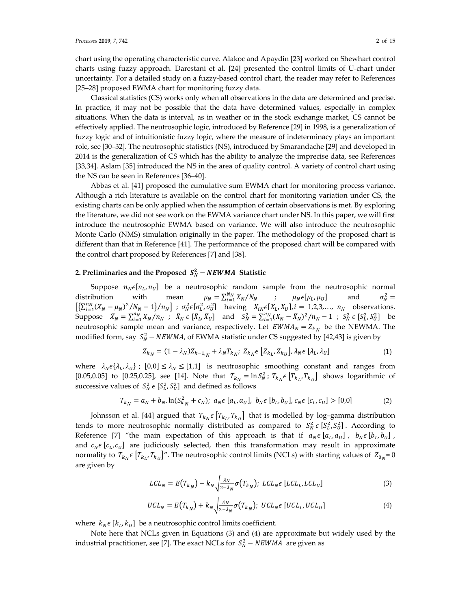chart using the operating characteristic curve. Alakoc and Apaydin [23] worked on Shewhart control charts using fuzzy approach. Darestani et al. [24] presented the control limits of U-chart under uncertainty. For a detailed study on a fuzzy-based control chart, the reader may refer to References [25–28] proposed EWMA chart for monitoring fuzzy data.

Classical statistics (CS) works only when all observations in the data are determined and precise. In practice, it may not be possible that the data have determined values, especially in complex situations. When the data is interval, as in weather or in the stock exchange market, CS cannot be effectively applied. The neutrosophic logic, introduced by Reference [29] in 1998, is a generalization of fuzzy logic and of intuitionistic fuzzy logic, where the measure of indeterminacy plays an important role, see [30–32]. The neutrosophic statistics (NS), introduced by Smarandache [29] and developed in 2014 is the generalization of CS which has the ability to analyze the imprecise data, see References [33,34]. Aslam [35] introduced the NS in the area of quality control. A variety of control chart using the NS can be seen in References [36–40].

Abbas et al. [41] proposed the cumulative sum EWMA chart for monitoring process variance. Although a rich literature is available on the control chart for monitoring variation under CS, the existing charts can be only applied when the assumption of certain observations is met. By exploring the literature, we did not see work on the EWMA variance chart under NS. In this paper, we will first introduce the neutrosophic EWMA based on variance. We will also introduce the neutrosophic Monte Carlo (NMS) simulation originally in the paper. The methodology of the proposed chart is different than that in Reference [41]. The performance of the proposed chart will be compared with the control chart proposed by References [7] and [38].

## 2. Preliminaries and the Proposed  $S_N^2 - NEWMA$  Statistic

Suppose  $n_N \epsilon[n_L, n_U]$  be a neutrosophic random sample from the neutrosophic normal ibution with mean  $\mu_N = \sum_{i=1}^{N_N} X_N / N_N$  ;  $\mu_N \epsilon[\mu_L, \mu_U]$  and  $\sigma_N^2 =$ distribution with mean  $\mu_N = \sum_{i=1}^{N_N} X_N / N_N$  ;  $\mu_N \in [\mu_L, \mu_U]$  and  $\sigma_N^2 =$  $\left[\left\{\sum_{i=1}^{n_N}(X_N-\mu_N)^2/N_N-1\right\}/n_N\right]$ ;  $\sigma_N^2\epsilon[\sigma_L^2,\sigma_U^2]$  having  $X_{iN}\epsilon[X_L,X_U], i = 1,2,3,..., n_N$  observations. Suppose  $\bar{X}_N = \sum_{i=1}^{n_N} X_N / n_N$ ;  $\bar{X}_N \in [\bar{X}_L, \bar{X}_U]$  and  $S_N^2 = \sum_{i=1}^{n_N} (X_N - \bar{X}_N)^2 / n_N - 1$ ;  $S_N^2 \in [S_L^2, S_U^2]$  be neutrosophic sample mean and variance, respectively. Let  $EWMA<sub>N</sub> = Z<sub>k<sub>N</sub></sub>$  be the NEWMA. The modified form, say  $S_N^2$  – NEWMA, of EWMA statistic under CS suggested by [42,43] is given by

$$
Z_{k_N} = (1 - \lambda_N) Z_{k-1,N} + \lambda_N T_{k_N}; \ Z_{k_N} \in [Z_{k_L}, Z_{k_U}], \ \lambda_N \in [\lambda_L, \lambda_U]
$$
 (1)

where  $\lambda_N \epsilon \{\lambda_L, \lambda_U\}$ ;  $[0,0] \le \lambda_N \le [1,1]$  is neutrosophic smoothing constant and ranges from [0.05,0.05] to [0.25,0.25], see [14]. Note that  $T_{k_N} = \ln S_N^2$ ;  $T_{k_N} \in [T_{k_L}, T_{k_U}]$  shows logarithmic of successive values of  $S_N^2 \in [S_L^2, S_U^2]$  and defined as follows

$$
T_{k_N} = a_N + b_N \cdot \ln(S_{k_N}^2 + c_N); \ a_N \in [a_L, a_U], \ b_N \in [b_L, b_U], \ c_N \in [c_L, c_U] > [0, 0]
$$
 (2)

Johnsson et al. [44] argued that  $T_{k_N} \epsilon \left[ T_{k_l}, T_{k_l} \right]$  that is modelled by log–gamma distribution tends to more neutrosophic normally distributed as compared to  $S_N^2 \epsilon [S_L^2, S_U^2]$ . According to Reference [7] "the main expectation of this approach is that if  $a_N \epsilon [a_L, a_U]$ ,  $b_N \epsilon [b_L, b_U]$ , and  $c_N \epsilon$  [ $c_L, c_U$ ] are judiciously selected, then this transformation may result in approximate normality to  $T_{k_N} \in [T_{k_L}, T_{k_U}]''$ . The neutrosophic control limits (NCLs) with starting values of  $Z_{0_N} = 0$ are given by

$$
LCL_N = E(T_{k_N}) - k_N \sqrt{\frac{\lambda_N}{2 - \lambda_N}} \sigma(T_{k_N}); \ LCL_N \in [LCL_L, LCL_U]
$$
 (3)

$$
UCL_N = E(T_{k_N}) + k_N \sqrt{\frac{\lambda_N}{2 - \lambda_N}} \sigma(T_{k_N}); \; UCL_N \in [UCL_L, UCL_U]
$$
\n<sup>(4)</sup>

where  $k_N \epsilon [k_L, k_U]$  be a neutrosophic control limits coefficient.

Note here that NCLs given in Equations (3) and (4) are approximate but widely used by the industrial practitioner, see [7]. The exact NCLs for  $S_N^2 - NEWMA$  are given as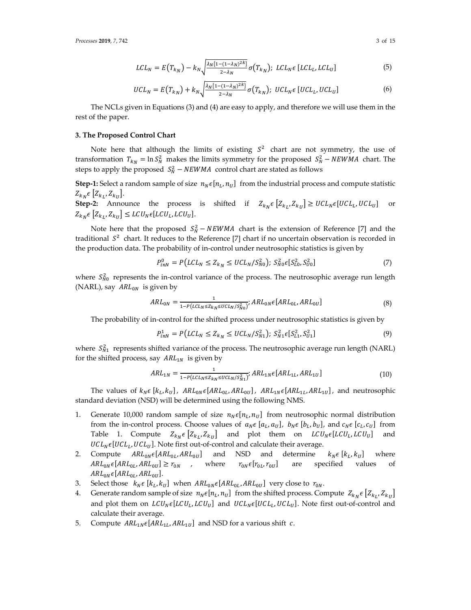$$
LCL_N = E\left(T_{k_N}\right) - k_N \sqrt{\frac{\lambda_N \{1 - (1 - \lambda_N)^{2k}\}}{2 - \lambda_N}} \sigma\left(T_{k_N}\right); \ LCL_N \epsilon \left[ LCL_L, LCL_U \right] \tag{5}
$$

$$
UCL_N = E\left(T_{k_N}\right) + k_N \sqrt{\frac{\lambda_N \{1 - (1 - \lambda_N)^{2k}\}}{2 - \lambda_N}} \sigma\left(T_{k_N}\right); \; UCL_N \in [UCL_L, UCL_U] \tag{6}
$$

The NCLs given in Equations (3) and (4) are easy to apply, and therefore we will use them in the rest of the paper.

#### **3. The Proposed Control Chart**

Note here that although the limits of existing  $S^2$  chart are not symmetry, the use of transformation  $T_{k_N} = \ln S_N^2$  makes the limits symmetry for the proposed  $S_N^2 - NEWMA$  chart. The steps to apply the proposed  $S_N^2$  –  $NEWMA$  control chart are stated as follows

**Step-1:** Select a random sample of size  $n_N \in [n_L, n_U]$  from the industrial process and compute statistic  $Z_{k_N} \epsilon \left[ Z_{k_L}, Z_{k_U} \right].$ 

**Step-2:** Announce the process is shifted if  $Z_{k} \in [Z_{k} \times Z_{k} \times E] \geq UCL_{N} \in [UCL_{L}, UCL_{U}]$  or  $Z_{k_N} \epsilon \left[ Z_{k_l}, Z_{k_l} \right] \leq L C U_N \epsilon [L C U_L, L C U_U].$ 

Note here that the proposed  $S_N^2 - NEWMA$  chart is the extension of Reference [7] and the traditional  $S<sup>2</sup>$  chart. It reduces to the Reference [7] chart if no uncertain observation is recorded in the production data. The probability of in-control under neutrosophic statistics is given by

$$
P_{inN}^{0} = P\left(LCL_N \le Z_{k_N} \le UCL_N/S_{N0}^2\right); \ S_{N0}^{2} \in [S_{L0}^2, S_{U0}^2] \tag{7}
$$

where  $S_{N0}^2$  represents the in-control variance of the process. The neutrosophic average run length (NARL), say  $ARL_{0N}$  is given by

$$
ARL_{0N} = \frac{1}{1 - P(LCL_N \le Z_{KN} \le UCL_N/S_{N0}^2)}; ARL_{0N} \epsilon [ARL_{0L}, ARL_{0U}]
$$
\n(8)

The probability of in-control for the shifted process under neutrosophic statistics is given by

$$
P_{inN}^1 = P\left(LCL_N \le Z_{k_N} \le UCL_N/S_{N1}^2\right); \ S_{N1}^2 \in [S_{L1}^2, S_{U1}^2] \tag{9}
$$

where  $S_{N1}^2$  represents shifted variance of the process. The neutrosophic average run length (NARL) for the shifted process, say  $ARL_{1N}$  is given by

$$
ARL_{1N} = \frac{1}{1 - P(LCL_N \le Z_{KN} \le UCL_N/S_{N1}^2)} \cdot ARL_{1N} \epsilon [ARL_{1L}, ARL_{1U}] \tag{10}
$$

The values of  $k_N \in [k_L, k_U]$ ,  $ARL_{0N} \in [ARL_{0L}, ARL_{0U}]$ ,  $ARL_{1N} \in [ARL_{1L}, ARL_{1U}]$ , and neutrosophic standard deviation (NSD) will be determined using the following NMS.

- 1. Generate 10,000 random sample of size  $n_N \epsilon [n_L, n_U]$  from neutrosophic normal distribution from the in-control process. Choose values of  $a_N \in [a_L, a_U]$ ,  $b_N \in [b_L, b_U]$ , and  $c_N \in [c_L, c_U]$  from Table 1. Compute  $Z_{k_N} \epsilon \left[ Z_{k_L}, Z_{k_U} \right]$  and plot them on  $LCU_N \epsilon \left[ LCU_L, LCU_U \right]$  and  $UCL_N \epsilon [UCL_L, UCL_U]$ . Note first out-of-control and calculate their average.
- 2. Compute  $ARL_{0N}\epsilon[ARL_{0L}, ARL_{0U}]$  and NSD and determine  $k_N\epsilon[k_L, k_U]$  where  $ARL_{0N}\epsilon[ARL_{0L}, ARL_{0U}] \ge r_{0N}$  , where  $r_{0N}\epsilon[r_{0L}, r_{0U}]$  are specified values of  $ARL_{0N} \epsilon [ARL_{0L}, ARL_{0U}].$
- 3. Select those  $k_N \epsilon [k_L, k_U]$  when  $ARL_{0N} \epsilon [ARL_{0L}, ARL_{0U}]$  very close to  $r_{0N}$ .
- 4. Generate random sample of size  $n_N \epsilon[n_L, n_U]$  from the shifted process. Compute  $Z_{k_N} \epsilon \left[Z_{k_L}, Z_{k_U}\right]$ and plot them on  $LCU_N \epsilon [LCU_L, LCU_U]$  and  $UCL_N \epsilon [UCL_L, UCL_U]$ . Note first out-of-control and calculate their average.
- 5. Compute  $ARL_{1N} \epsilon [ARL_{1L}, ARL_{1U}]$  and NSD for a various shift c.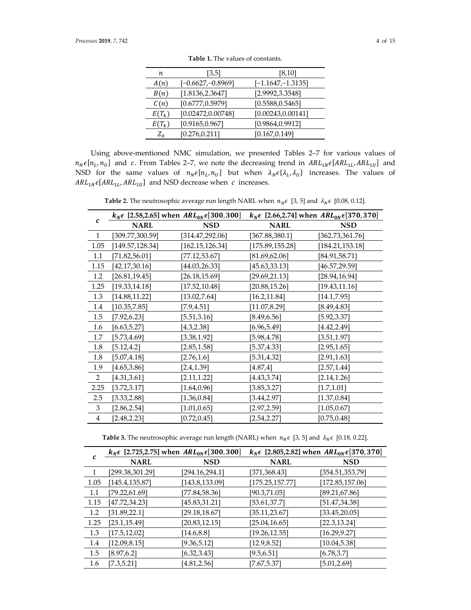| n        | [3,5]               | [8, 10]              |
|----------|---------------------|----------------------|
| A(n)     | $[-0.6627,-0.8969]$ | $[-1.1647, -1.3135]$ |
| B(n)     | [1.8136, 2.3647]    | [2.9992, 3.3548]     |
| C(n)     | [0.6777, 0.5979]    | [0.5588, 0.5465]     |
| $E(T_k)$ | [0.02472, 0.00748]  | [0.00243, 0.00141]   |
| $E(T_k)$ | [0.9165, 0.967]     | [0.9864, 0.9912]     |
| $Z_{0}$  | [0.276, 0.211]      | [0.167, 0.149]       |

**Table 1.** The values of constants.

Using above-mentioned NMC simulation, we presented Tables 2–7 for various values of  $n_N \epsilon[n_L, n_U]$  and c. From Tables 2–7, we note the decreasing trend in  $ARL_{1N} \epsilon[ARL_{1L}, ARL_{1U}]$  and NSD for the same values of  $n_N \epsilon [n_L, n_U]$  but when  $\lambda_N \epsilon \{\lambda_L, \lambda_U\}$  increases. The values of  $ARL_{1N} \epsilon [ARL_{1L}, ARL_{1U}]$  and NSD decrease when c increases.

**Table 2.** The neutrosophic average run length NARL when  $n_N \epsilon$  [3, 5] and  $\lambda_N \epsilon$  [0.08, 0.12].

| $\mathcal{C}_{0}$ | $k_N \epsilon$ [2.58,2.65] when $ARL_{0N} \epsilon$ [300, 300] |                  | $k_N \epsilon$ [2.66,2.74] when $ARL_{0N} \epsilon$ [370, 370] |                  |
|-------------------|----------------------------------------------------------------|------------------|----------------------------------------------------------------|------------------|
|                   | <b>NARL</b>                                                    | <b>NSD</b>       | <b>NARL</b>                                                    | <b>NSD</b>       |
| $\mathbf{1}$      | [309.77,300.59]                                                | [314.47, 292.06] | [367.88, 380.1]                                                | [362.73, 361.76] |
| 1.05              | [149.57, 128.34]                                               | [162.15, 126.34] | [175.89, 155.28]                                               | [184.21, 153.18] |
| 1.1               | [71.82, 56.01]                                                 | [77.12, 53.67]   | [81.69, 62.06]                                                 | [84.91, 58.71]   |
| 1.15              | [42.17, 30.16]                                                 | [44.03, 26.33]   | [45.63, 33.13]                                                 | [46.57,29.59]    |
| 1.2               | [26.81, 19.45]                                                 | [26.18, 15.69]   | [29.69, 21.13]                                                 | [28.94, 16.94]   |
| 1.25              | [19.33, 14.18]                                                 | [17.52, 10.48]   | [20.88, 15.26]                                                 | [19.43, 11.16]   |
| 1.3               | [14.88, 11.22]                                                 | [13.02, 7.64]    | [16.2, 11.84]                                                  | [14.1, 7.95]     |
| 1.4               | [10.35, 7.85]                                                  | $[7.9, 4.51]$    | [11.07, 8.29]                                                  | [8.49, 4.83]     |
| 1.5               | [7.92, 6.23]                                                   | [5.51, 3.16]     | [8.49, 6.56]                                                   | [5.92, 3.37]     |
| 1.6               | [6.63, 5.27]                                                   | [4.3, 2.38]      | [6.96, 5.49]                                                   | [4.42, 2.49]     |
| 1.7               | [5.73, 4.69]                                                   | [3.38, 1.92]     | [5.98, 4.78]                                                   | [3.51, 1.97]     |
| 1.8               | [5.12, 4.2]                                                    | [2.85, 1.58]     | [5.37,4.33]                                                    | [2.95, 1.65]     |
| 1.8               | [5.07, 4.18]                                                   | [2.76, 1.6]      | [5.31, 4.32]                                                   | [2.91, 1.63]     |
| 1.9               | [4.65, 3.86]                                                   | [2.4,1.39]       | [4.87, 4]                                                      | [2.57, 1.44]     |
| $\overline{2}$    | [4.31, 3.61]                                                   | [2.11, 1.22]     | [4.43, 3.74]                                                   | [2.14, 1.26]     |
| 2.25              | [3.72, 3.17]                                                   | [1.64, 0.96]     | [3.85, 3.27]                                                   | [1.7, 1.01]      |
| 2.5               | [3.33, 2.88]                                                   | [1.36, 0.84]     | [3.44, 2.97]                                                   | [1.37, 0.84]     |
| 3                 | [2.86, 2.54]                                                   | [1.01, 0.65]     | [2.97, 2.59]                                                   | [1.05, 0.67]     |
| 4                 | [2.48, 2.23]                                                   | [0.72, 0.45]     | [2.54, 2.27]                                                   | [0.75, 0.48]     |

**Table 3.** The neutrosophic average run length (NARL) when  $n_N \epsilon$  [3, 5] and  $\lambda_N \epsilon$  [0.18, 0.22].

|      |                  | $k_N \epsilon$ [2.725,2.75] when $ARL_{0N} \epsilon$ [300,300] |                  | $k_N \epsilon$ [2.805,2.82] when $ARL_{0N} \epsilon$ [370,370] |
|------|------------------|----------------------------------------------------------------|------------------|----------------------------------------------------------------|
| С    | <b>NARL</b>      | <b>NSD</b>                                                     | <b>NARL</b>      | <b>NSD</b>                                                     |
|      | [299.38, 301.29] | [294.16, 294.1]                                                | [371,368.43]     | [354.51, 353.79]                                               |
| 1.05 | [145.4, 135.87]  | [143.8, 133.09]                                                | [175.25, 157.77] | [172.85, 157.06]                                               |
| 1.1  | [79.22, 61.69]   | [77.84, 58.36]                                                 | [90.3,71.05]     | [89.21, 67.86]                                                 |
| 1.15 | [47.72, 34.23]   | [45.83, 31.21]                                                 | [53.61, 37.7]    | [51.47, 34.38]                                                 |
| 1.2  | [31.89, 22.1]    | [29.18, 18.67]                                                 | [35.11, 23.67]   | [33.45, 20.05]                                                 |
| 1.25 | [23.1, 15.49]    | [20.83, 12.15]                                                 | [25.04, 16.65]   | [22.3, 13.24]                                                  |
| 1.3  | [17.5, 12.02]    | [14.6, 8.8]                                                    | [19.26, 12.55]   | [16.29, 9.27]                                                  |
| 1.4  | [12.09, 8.15]    | [9.36, 5.12]                                                   | [12.9, 8.52]     | [10.04, 5.38]                                                  |
| 1.5  | [8.97, 6.2]      | [6.32, 3.43]                                                   | [9.5, 6.51]      | [6.78, 3.7]                                                    |
| 1.6  | [7.3, 5.21]      | [4.81, 2.56]                                                   | [7.67, 5.37]     | [5.01, 2.69]                                                   |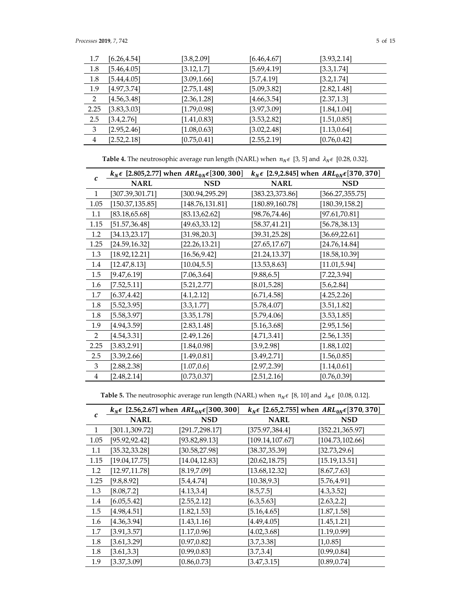| 1.7  | [6.26, 4.54] | [3.8, 2.09]  | [6.46, 4.67] | [3.93, 2.14] |
|------|--------------|--------------|--------------|--------------|
| 1.8  | [5.46, 4.05] | [3.12, 1.7]  | [5.69,4.19]  | [3.3, 1.74]  |
| 1.8  | [5.44, 4.05] | [3.09, 1.66] | [5.7, 4.19]  | [3.2, 1.74]  |
| 1.9  | [4.97, 3.74] | [2.75, 1.48] | [5.09, 3.82] | [2.82, 1.48] |
| 2    | [4.56, 3.48] | [2.36, 1.28] | [4.66, 3.54] | [2.37, 1.3]  |
| 2.25 | [3.83, 3.03] | [1.79, 0.98] | [3.97,3.09]  | [1.84, 1.04] |
| 2.5  | [3.4, 2.76]  | [1.41, 0.83] | [3.53,2.82]  | [1.51, 0.85] |
| 3    | [2.95, 2.46] | [1.08, 0.63] | [3.02, 2.48] | [1.13, 0.64] |
| 4    | [2.52, 2.18] | [0.75, 0.41] | [2.55, 2.19] | [0.76, 0.42] |

**Table 4.** The neutrosophic average run length (NARL) when  $n_N \epsilon$  [3, 5] and  $\lambda_N \epsilon$  [0.28, 0.32].

|                |                  | $k_N \epsilon$ [2.805,2.77] when $ARL_{0N} \epsilon$ [300, 300] | $k_N \epsilon$ [2.9,2.845] when $ARL_{0N} \epsilon$ [370, 370] |                  |  |
|----------------|------------------|-----------------------------------------------------------------|----------------------------------------------------------------|------------------|--|
| c              | <b>NARL</b>      | <b>NSD</b>                                                      | <b>NARL</b>                                                    | <b>NSD</b>       |  |
| 1              | [307.39,301.71]  | [300.94,295.29]                                                 | [383.23,373.86]                                                | [366.27, 355.75] |  |
| 1.05           | [150.37, 135.85] | [148.76, 131.81]                                                | [180.89, 160.78]                                               | [180.39,158.2]   |  |
| 1.1            | [83.18, 65.68]   | [83.13, 62.62]                                                  | [98.76, 74.46]                                                 | [97.61, 70.81]   |  |
| 1.15           | [51.57, 36.48]   | [49.63,33.12]                                                   | [58.37, 41.21]                                                 | [56.78,38.13]    |  |
| 1.2            | [34.13, 23.17]   | [31.98, 20.3]                                                   | [39.31, 25.28]                                                 | [36.69, 22.61]   |  |
| 1.25           | [24.59, 16.32]   | [22.26, 13.21]                                                  | [27.65, 17.67]                                                 | [24.76, 14.84]   |  |
| 1.3            | [18.92, 12.21]   | [16.56, 9.42]                                                   | [21.24,13.37]                                                  | [18.58, 10.39]   |  |
| 1.4            | [12.47, 8.13]    | [10.04, 5.5]                                                    | [13.53, 8.63]                                                  | [11.01, 5.94]    |  |
| 1.5            | [9.47, 6.19]     | [7.06, 3.64]                                                    | [9.88, 6.5]                                                    | [7.22, 3.94]     |  |
| 1.6            | [7.52, 5.11]     | [5.21, 2.77]                                                    | [8.01, 5.28]                                                   | [5.6, 2.84]      |  |
| 1.7            | [6.37, 4.42]     | [4.1, 2.12]                                                     | [6.71, 4.58]                                                   | [4.25, 2.26]     |  |
| 1.8            | [5.52, 3.95]     | [3.3, 1.77]                                                     | [5.78, 4.07]                                                   | [3.51, 1.82]     |  |
| 1.8            | [5.58, 3.97]     | [3.35, 1.78]                                                    | [5.79, 4.06]                                                   | [3.53, 1.85]     |  |
| 1.9            | [4.94, 3.59]     | [2.83, 1.48]                                                    | [5.16, 3.68]                                                   | [2.95, 1.56]     |  |
| 2              | [4.54, 3.31]     | [2.49, 1.26]                                                    | [4.71, 3.41]                                                   | [2.56, 1.35]     |  |
| 2.25           | [3.83, 2.91]     | [1.84, 0.98]                                                    | [3.9,2.98]                                                     | [1.88, 1.02]     |  |
| 2.5            | [3.39, 2.66]     | [1.49, 0.81]                                                    | [3.49, 2.71]                                                   | [1.56, 0.85]     |  |
| 3              | [2.88, 2.38]     | [1.07, 0.6]                                                     | [2.97, 2.39]                                                   | [1.14, 0.61]     |  |
| $\overline{4}$ | [2.48, 2.14]     | [0.73, 0.37]                                                    | [2.51, 2.16]                                                   | [0.76, 0.39]     |  |

**Table 5.** The neutrosophic average run length (NARL) when  $n_N \epsilon$  [8, 10] and  $\lambda_N \epsilon$  [0.08, 0.12].

|            |                 | $k_N \epsilon$ [2.56,2.67] when $ARL_{0N} \epsilon$ [300, 300] |                  | $k_N \epsilon$ [2.65,2.755] when $ARL_{0N} \epsilon$ [370, 370] |
|------------|-----------------|----------------------------------------------------------------|------------------|-----------------------------------------------------------------|
| $\epsilon$ | <b>NARL</b>     | <b>NSD</b>                                                     | <b>NARL</b>      | <b>NSD</b>                                                      |
| 1          | [301.1, 309.72] | [291.7,298.17]                                                 | [375.97, 384.4]  | [352.21, 365.97]                                                |
| 1.05       | [95.92, 92.42]  | [93.82, 89.13]                                                 | [109.14, 107.67] | [104.73, 102.66]                                                |
| 1.1        | [35.32, 33.28]  | [30.58, 27.98]                                                 | [38.37, 35.39]   | [32.73, 29.6]                                                   |
| 1.15       | [19.04, 17.75]  | [14.04, 12.83]                                                 | [20.62, 18.75]   | [15.19, 13.51]                                                  |
| 1.2        | [12.97, 11.78]  | [8.19, 7.09]                                                   | [13.68, 12.32]   | [8.67, 7.63]                                                    |
| 1.25       | [9.8, 8.92]     | $[5.4, 4.74]$                                                  | [10.38, 9.3]     | [5.76, 4.91]                                                    |
| 1.3        | [8.08, 7.2]     | [4.13, 3.4]                                                    | [8.5, 7.5]       | [4.3, 3.52]                                                     |
| 1.4        | [6.05, 5.42]    | [2.55, 2.12]                                                   | [6.3, 5.63]      | [2.63, 2.2]                                                     |
| 1.5        | [4.98, 4.51]    | [1.82, 1.53]                                                   | [5.16, 4.65]     | [1.87, 1.58]                                                    |
| 1.6        | [4.36, 3.94]    | [1.43, 1.16]                                                   | [4.49, 4.05]     | [1.45, 1.21]                                                    |
| 1.7        | [3.91, 3.57]    | [1.17, 0.96]                                                   | [4.02, 3.68]     | [1.19, 0.99]                                                    |
| 1.8        | [3.61, 3.29]    | [0.97, 0.82]                                                   | [3.7, 3.38]      | [1,0.85]                                                        |
| 1.8        | [3.61, 3.3]     | [0.99, 0.83]                                                   | [3.7, 3.4]       | [0.99, 0.84]                                                    |
| 1.9        | [3.37, 3.09]    | [0.86, 0.73]                                                   | [3.47, 3.15]     | [0.89, 0.74]                                                    |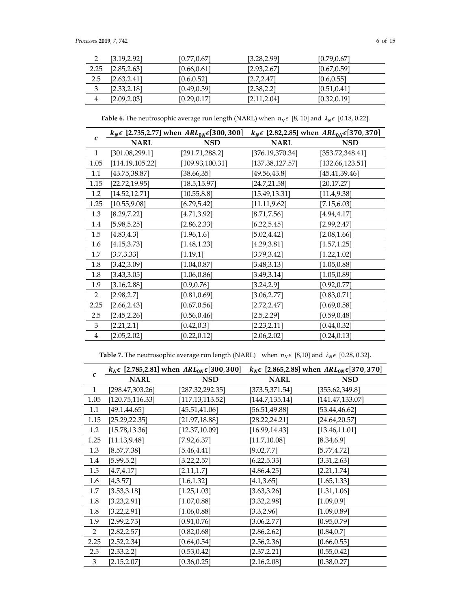| ∽    | [3.19.2.92]  | [0.77, 0.67] | [3.28, 2.99] | [0.79, 0.67] |
|------|--------------|--------------|--------------|--------------|
| 2.25 | [2.85, 2.63] | [0.66, 0.61] | [2.93, 2.67] | [0.67, 0.59] |
| 2.5  | [2.63, 2.41] | [0.6, 0.52]  | [2.7, 2.47]  | [0.6, 0.55]  |
| 3    | [2.33, 2.18] | [0.49, 0.39] | [2.38, 2.2]  | [0.51, 0.41] |
|      | [2.09, 2.03] | [0.29, 0.17] | [2.11, 2.04] | [0.32, 0.19] |

**Table 6.** The neutrosophic average run length (NARL) when  $n_N \epsilon$  [8, 10] and  $\lambda_N \epsilon$  [0.18, 0.22].

| $\mathcal{C}$ |                  | $k_N \epsilon$ [2.735,2.77] when $ARL_{0N} \epsilon$ [300, 300] | $k_N \epsilon$ [2.82,2.85] when $ARL_{0N} \epsilon$ [370, 370] |                  |  |
|---------------|------------------|-----------------------------------------------------------------|----------------------------------------------------------------|------------------|--|
|               | <b>NARL</b>      | <b>NSD</b>                                                      | <b>NARL</b>                                                    | <b>NSD</b>       |  |
| 1             | [301.08, 299.1]  | [291.71, 288.2]                                                 | [376.19,370.34]                                                | [353.72,348.41]  |  |
| 1.05          | [114.19, 105.22] | [109.93, 100.31]                                                | [137.38, 127.57]                                               | [132.66, 123.51] |  |
| 1.1           | [43.75,38.87]    | [38.66, 35]                                                     | [49.56,43.8]                                                   | [45.41,39.46]    |  |
| 1.15          | [22.72, 19.95]   | [18.5, 15.97]                                                   | [24.7, 21.58]                                                  | [20, 17.27]      |  |
| 1.2           | [14.52, 12.71]   | [10.55, 8.8]                                                    | [15.49, 13.31]                                                 | [11.4, 9.38]     |  |
| 1.25          | [10.55, 9.08]    | [6.79, 5.42]                                                    | [11.11, 9.62]                                                  | [7.15, 6.03]     |  |
| 1.3           | [8.29, 7.22]     | [4.71, 3.92]                                                    | [8.71, 7.56]                                                   | [4.94, 4.17]     |  |
| 1.4           | [5.98, 5.25]     | [2.86, 2.33]                                                    | [6.22, 5.45]                                                   | [2.99, 2.47]     |  |
| 1.5           | [4.83, 4.3]      | [1.96, 1.6]                                                     | [5.02,4.42]                                                    | [2.08, 1.66]     |  |
| 1.6           | [4.15, 3.73]     | [1.48, 1.23]                                                    | [4.29, 3.81]                                                   | [1.57, 1.25]     |  |
| 1.7           | [3.7, 3.33]      | [1.19,1]                                                        | [3.79,3.42]                                                    | [1.22, 1.02]     |  |
| 1.8           | [3.42, 3.09]     | [1.04, 0.87]                                                    | [3.48, 3.13]                                                   | [1.05, 0.88]     |  |
| 1.8           | [3.43, 3.05]     | [1.06, 0.86]                                                    | [3.49, 3.14]                                                   | [1.05, 0.89]     |  |
| 1.9           | [3.16, 2.88]     | [0.9, 0.76]                                                     | [3.24, 2.9]                                                    | [0.92, 0.77]     |  |
| 2             | [2.98, 2.7]      | [0.81, 0.69]                                                    | [3.06, 2.77]                                                   | [0.83, 0.71]     |  |
| 2.25          | [2.66, 2.43]     | [0.67, 0.56]                                                    | [2.72, 2.47]                                                   | [0.69, 0.58]     |  |
| 2.5           | [2.45, 2.26]     | [0.56, 0.46]                                                    | [2.5, 2.29]                                                    | [0.59, 0.48]     |  |
| 3             | [2.21, 2.1]      | [0.42, 0.3]                                                     | [2.23, 2.11]                                                   | [0.44, 0.32]     |  |
| 4             | [2.05, 2.02]     | [0.22, 0.12]                                                    | [2.06, 2.02]                                                   | [0.24, 0.13]     |  |

**Table 7.** The neutrosophic average run length (NARL) when  $n_N \epsilon$  [8,10] and  $\lambda_N \epsilon$  [0.28, 0.32].

|                |                  | $k_N \epsilon$ [2.785,2.81] when $ARL_{0N} \epsilon$ [300,300] | $k_N \epsilon$ [2.865,2.88] when $ARL_{0N} \epsilon$ [370,370] |                  |  |
|----------------|------------------|----------------------------------------------------------------|----------------------------------------------------------------|------------------|--|
| c              | <b>NARL</b>      | <b>NSD</b>                                                     | <b>NARL</b>                                                    | <b>NSD</b>       |  |
| 1              | [298.47,303.26]  | [287.32,292.35]                                                | [373.5, 371.54]                                                | [355.62,349.8]   |  |
| 1.05           | [120.75, 116.33] | [117.13,113.52]                                                | [144.7, 135.14]                                                | [141.47, 133.07] |  |
| 1.1            | [49.1, 44.65]    | [45.51, 41.06]                                                 | [56.51, 49.88]                                                 | [53.44, 46.62]   |  |
| 1.15           | [25.29, 22.35]   | [21.97, 18.88]                                                 | [28.22, 24.21]                                                 | [24.64, 20.57]   |  |
| 1.2            | [15.78, 13.36]   | [12.37,10.09]                                                  | [16.99,14.43]                                                  | [13.46, 11.01]   |  |
| 1.25           | [11.13, 9.48]    | [7.92,6.37]                                                    | [11.7, 10.08]                                                  | [8.34, 6.9]      |  |
| 1.3            | [8.57, 7.38]     | [5.46, 4.41]                                                   | [9.02, 7.7]                                                    | [5.77, 4.72]     |  |
| 1.4            | [5.99,5.2]       | [3.22, 2.57]                                                   | [6.22, 5.33]                                                   | [3.31, 2.63]     |  |
| 1.5            | [4.7, 4.17]      | [2.11, 1.7]                                                    | [4.86, 4.25]                                                   | [2.21, 1.74]     |  |
| 1.6            | [4,3.57]         | [1.6, 1.32]                                                    | [4.1, 3.65]                                                    | [1.65, 1.33]     |  |
| 1.7            | [3.53, 3.18]     | [1.25, 1.03]                                                   | [3.63, 3.26]                                                   | [1.31, 1.06]     |  |
| 1.8            | [3.23, 2.91]     | [1.07, 0.88]                                                   | [3.32, 2.98]                                                   | [1.09, 0.9]      |  |
| 1.8            | [3.22, 2.91]     | [1.06, 0.88]                                                   | [3.3, 2.96]                                                    | [1.09, 0.89]     |  |
| 1.9            | [2.99, 2.73]     | [0.91, 0.76]                                                   | [3.06, 2.77]                                                   | [0.95, 0.79]     |  |
| $\overline{2}$ | [2.82, 2.57]     | [0.82, 0.68]                                                   | [2.86, 2.62]                                                   | [0.84, 0.7]      |  |
| 2.25           | [2.52, 2.34]     | [0.64, 0.54]                                                   | [2.56, 2.36]                                                   | [0.66, 0.55]     |  |
| 2.5            | [2.33, 2.2]      | [0.53, 0.42]                                                   | [2.37, 2.21]                                                   | [0.55, 0.42]     |  |
| 3              | [2.15, 2.07]     | [0.36, 0.25]                                                   | [2.16, 2.08]                                                   | [0.38, 0.27]     |  |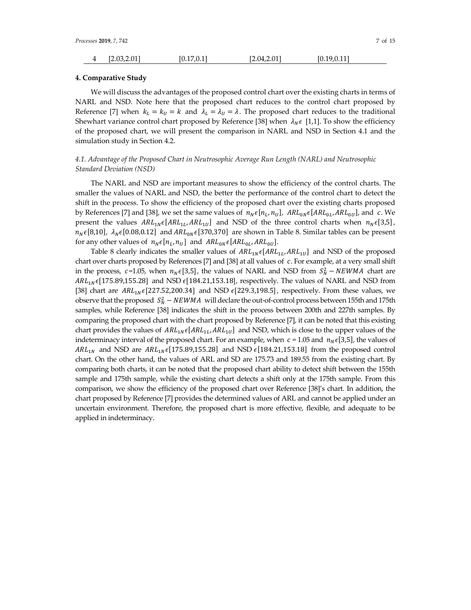| Processes <b>2019</b> , 7, 742 |              |             |              |              |  |
|--------------------------------|--------------|-------------|--------------|--------------|--|
| 4                              | [2.03, 2.01] | [0.17, 0.1] | [2.04, 2.01] | [0.19, 0.11] |  |

#### **4. Comparative Study**

We will discuss the advantages of the proposed control chart over the existing charts in terms of NARL and NSD. Note here that the proposed chart reduces to the control chart proposed by Reference [7] when  $k_L = k_U = k$  and  $\lambda_L = \lambda_U = \lambda$ . The proposed chart reduces to the traditional Shewhart variance control chart proposed by Reference [38] when  $\lambda_N \epsilon$  [1,1]. To show the efficiency of the proposed chart, we will present the comparison in NARL and NSD in Section 4.1 and the simulation study in Section 4.2.

## *4.1. Advantage of the Proposed Chart in Neutrosophic Average Run Length (NARL) and Neutrosophic Standard Deviation (NSD)*

The NARL and NSD are important measures to show the efficiency of the control charts. The smaller the values of NARL and NSD, the better the performance of the control chart to detect the shift in the process. To show the efficiency of the proposed chart over the existing charts proposed by References [7] and [38], we set the same values of  $n_N \epsilon [n_L, n_U]$ ,  $ARL_{0N} \epsilon [ARL_{0L}, ARL_{0U}]$ , and c. We present the values  $ARL_{1N} \epsilon [ARL_{1L}, ARL_{1U}]$  and NSD of the three control charts when  $n_N \epsilon [3,5]$ ,  $n_N \epsilon[8,10]$ ,  $\lambda_N \epsilon[0.08, 0.12]$  and  $ARL_{0N} \epsilon[370,370]$  are shown in Table 8. Similar tables can be present for any other values of  $n_N \epsilon[n_L, n_U]$  and  $ARL_{0N} \epsilon[ARL_{0L}, ARL_{0U}].$ 

Table 8 clearly indicates the smaller values of  $ARL_{1N}\epsilon[ARL_{1L}, ARL_{1U}]$  and NSD of the proposed chart over charts proposed by References [7] and [38] at all values of  $c$ . For example, at a very small shift in the process, c=1.05, when  $n_N \in [3,5]$ , the values of NARL and NSD from  $S_N^2 - NEWMA$  chart are  $ARL_{1N}\epsilon$ [175.89,155.28] and NSD  $\epsilon$ [184.21,153.18], respectively. The values of NARL and NSD from [38] chart are  $ARL_{1N}\epsilon$ [227.52,200.34] and NSD  $\epsilon$ [229.3,198.5], respectively. From these values, we observe that the proposed  $S_N^2$  –  $NEWMA$  will declare the out-of-control process between 155th and 175th samples, while Reference [38] indicates the shift in the process between 200th and 227th samples. By comparing the proposed chart with the chart proposed by Reference [7], it can be noted that this existing chart provides the values of  $ARL_{1N}\epsilon[ARL_{1L}, ARL_{1U}]$  and NSD, which is close to the upper values of the indeterminacy interval of the proposed chart. For an example, when  $c = 1.05$  and  $n_N \in [3,5]$ , the values of  $ARL<sub>1N</sub>$  and NSD are  $ARL<sub>1N</sub> \epsilon$ [175.89,155.28] and NSD  $\epsilon$ [184.21,153.18] from the proposed controlchart. On the other hand, the values of ARL and SD are 175.73 and 189.55 from the existing chart. By comparing both charts, it can be noted that the proposed chart ability to detect shift between the 155th sample and 175th sample, while the existing chart detects a shift only at the 175th sample. From this comparison, we show the efficiency of the proposed chart over Reference [38]'s chart. In addition, the chart proposed by Reference [7] provides the determined values of ARL and cannot be applied under an uncertain environment. Therefore, the proposed chart is more effective, flexible, and adequate to be applied in indeterminacy.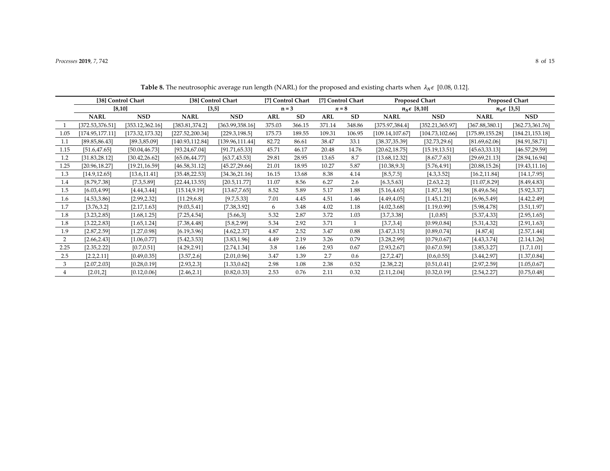## *Processes* **2019**, *7*, 742 8 of 15

|                |                  | [38] Control Chart |                 | [38] Control Chart |        | [7] Control Chart |            | [7] Control Chart |                       | <b>Proposed Chart</b> |                  | <b>Proposed Chart</b> |
|----------------|------------------|--------------------|-----------------|--------------------|--------|-------------------|------------|-------------------|-----------------------|-----------------------|------------------|-----------------------|
|                | [8, 10]          |                    |                 | [3,5]              |        | $n = 3$           | $n = 8$    |                   | $n_N \epsilon$ [8,10] |                       |                  | $n_N \epsilon$ [3,5]  |
|                | <b>NARL</b>      | <b>NSD</b>         | <b>NARL</b>     | <b>NSD</b>         | ARL    | <b>SD</b>         | <b>ARL</b> | <b>SD</b>         | <b>NARL</b>           | <b>NSD</b>            | <b>NARL</b>      | <b>NSD</b>            |
|                | [372.53, 376.51] | [353.12,362.16]    | [383.81, 374.2] | [363.99, 358.16]   | 375.03 | 366.15            | 371.14     | 348.86            | [375.97, 384.4]       | [352.21,365.97]       | [367.88,380.1]   | [362.73, 361.76]      |
| 1.05           | [174.95, 177.11] | [173.32,173.32]    | [227.52,200.34] | [229.3, 198.5]     | 175.73 | 189.55            | 109.31     | 106.95            | [109.14, 107.67]      | [104.73, 102.66]      | [175.89, 155.28] | [184.21, 153.18]      |
| 1.1            | [89.85, 86.43]   | [89.3, 85.09]      | [140.93,112.84] | [139.96,111.44]    | 82.72  | 86.61             | 38.47      | 33.1              | [38.37, 35.39]        | [32.73, 29.6]         | [81.69, 62.06]   | [84.91, 58.71]        |
| 1.15           | [51.6, 47.65]    | [50.04, 46.73]     | [93.24, 67.04]  | [91.71, 65.33]     | 45.71  | 46.17             | 20.48      | 14.76             | [20.62, 18.75]        | [15.19, 13.51]        | [45.63,33.13]    | [46.57, 29.59]        |
| 1.2            | [31.83, 28.12]   | [30.42, 26.62]     | [65.06, 44.77]  | [63.7, 43.53]      | 29.81  | 28.95             | 13.65      | 8.7               | [13.68,12.32]         | [8.67, 7.63]          | [29.69, 21.13]   | [28.94,16.94]         |
| 1.25           | [20.96, 18.27]   | [19.21, 16.59]     | [46.58, 31.12]  | [45.27, 29.66]     | 21.01  | 18.95             | 10.27      | 5.87              | [10.38, 9.3]          | [5.76, 4.91]          | [20.88, 15.26]   | [19.43, 11.16]        |
| 1.3            | [14.9, 12.65]    | [13.6, 11.41]      | [35.48, 22.53]  | [34.36, 21.16]     | 16.15  | 13.68             | 8.38       | 4.14              | [8.5, 7.5]            | [4.3, 3.52]           | [16.2, 11.84]    | [14.1, 7.95]          |
| 1.4            | [8.79, 7.38]     | [7.3, 5.89]        | [22.44, 13.55]  | [20.5, 11.77]      | 11.07  | 8.56              | 6.27       | 2.6               | [6.3, 5.63]           | [2.63, 2.2]           | [11.07, 8.29]    | [8.49, 4.83]          |
| 1.5            | [6.03, 4.99]     | [4.44, 3.44]       | [15.14, 9.19]   | [13.67, 7.65]      | 8.52   | 5.89              | 5.17       | 1.88              | [5.16, 4.65]          | [1.87, 1.58]          | [8.49, 6.56]     | [5.92, 3.37]          |
| 1.6            | [4.53, 3.86]     | [2.99, 2.32]       | [11.29, 6.8]    | [9.7, 5.33]        | 7.01   | 4.45              | 4.51       | 1.46              | [4.49, 4.05]          | [1.45, 1.21]          | [6.96, 5.49]     | [4.42, 2.49]          |
| 1.7            | [3.76, 3.2]      | [2.17, 1.63]       | [9.03, 5.41]    | [7.38, 3.92]       | 6      | 3.48              | 4.02       | 1.18              | [4.02, 3.68]          | [1.19, 0.99]          | [5.98, 4.78]     | [3.51, 1.97]          |
| 1.8            | [3.23, 2.85]     | [1.68, 1.25]       | [7.25, 4.54]    | [5.66,3]           | 5.32   | 2.87              | 3.72       | 1.03              | [3.7, 3.38]           | [1,0.85]              | [5.37, 4.33]     | [2.95, 1.65]          |
| 1.8            | [3.22, 2.83]     | [1.65, 1.24]       | [7.38, 4.48]    | [5.8, 2.99]        | 5.34   | 2.92              | 3.71       |                   | [3.7, 3.4]            | [0.99, 0.84]          | [5.31, 4.32]     | [2.91, 1.63]          |
| 1.9            | [2.87, 2.59]     | [1.27, 0.98]       | [6.19, 3.96]    | [4.62, 2.37]       | 4.87   | 2.52              | 3.47       | 0.88              | [3.47, 3.15]          | [0.89, 0.74]          | [4.87, 4]        | [2.57, 1.44]          |
| 2              | [2.66, 2.43]     | [1.06, 0.77]       | [5.42, 3.53]    | [3.83, 1.96]       | 4.49   | 2.19              | 3.26       | 0.79              | [3.28, 2.99]          | [0.79, 0.67]          | [4.43, 3.74]     | [2.14, 1.26]          |
| 2.25           | [2.35, 2.22]     | [0.7, 0.51]        | [4.29, 2.91]    | [2.74, 1.34]       | 3.8    | 1.66              | 2.93       | 0.67              | [2.93, 2.67]          | [0.67, 0.59]          | [3.85, 3.27]     | [1.7, 1.01]           |
| 2.5            | [2.2, 2.11]      | [0.49, 0.35]       | [3.57, 2.6]     | [2.01, 0.96]       | 3.47   | 1.39              | 2.7        | 0.6               | [2.7, 2.47]           | [0.6, 0.55]           | [3.44, 2.97]     | [1.37, 0.84]          |
| 3              | [2.07, 2.03]     | [0.28, 0.19]       | [2.93, 2.3]     | [1.33, 0.62]       | 2.98   | 1.08              | 2.38       | 0.52              | [2.38, 2.2]           | [0.51, 0.41]          | [2.97, 2.59]     | [1.05, 0.67]          |
| $\overline{4}$ | [2.01,2]         | [0.12, 0.06]       | [2.46, 2.1]     | [0.82, 0.33]       | 2.53   | 0.76              | 2.11       | 0.32              | [2.11, 2.04]          | [0.32, 0.19]          | [2.54, 2.27]     | [0.75, 0.48]          |

**Table 8.** The neutrosophic average run length (NARL) for the proposed and existing charts when  $\lambda_N \epsilon$  [0.08, 0.12].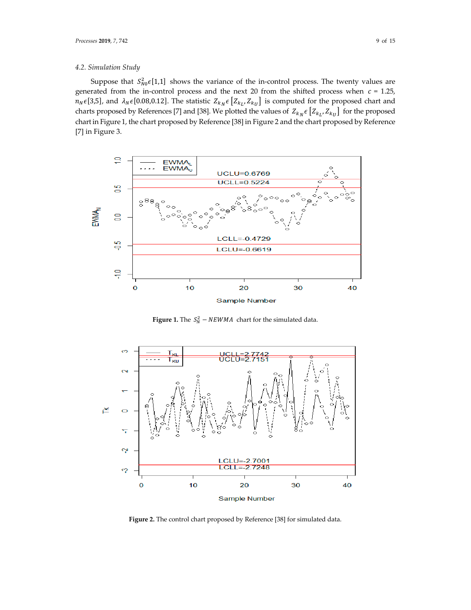## *4.2. Simulation Study*

Suppose that  $S_{N0}^2 \epsilon[1,1]$  shows the variance of the in-control process. The twenty values are generated from the in-control process and the next 20 from the shifted process when  $c = 1.25$ ,  $n_N \in [3,5]$ , and  $\lambda_N \in [0.08,0.12]$ . The statistic  $Z_{k_N} \in [Z_{k_L}, Z_{k_U}]$  is computed for the proposed chart and charts proposed by References [7] and [38]. We plotted the values of  $Z_{k_N} \epsilon \left[Z_{k_L}, Z_{k_U}\right]$  for the proposed chart in Figure 1, the chart proposed by Reference [38] in Figure 2 and the chart proposed by Reference [7] in Figure 3.



**Figure 1.** The  $S_N^2$  –  $NEWMA$  chart for the simulated data.



**Figure 2.** The control chart proposed by Reference [38] for simulated data.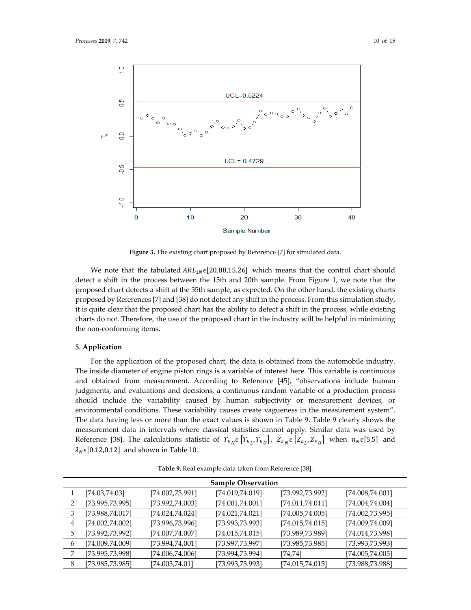

**Figure 3.** The existing chart proposed by Reference [7] for simulated data.

We note that the tabulated  $ARL_N \epsilon$ [20.88,15.26] which means that the control chart should detect a shift in the process between the 15th and 20th sample. From Figure 1, we note that the proposed chart detects a shift at the 35th sample, as expected. On the other hand, the existing charts proposed by References [7] and [38] do not detect any shift in the process. From this simulation study, it is quite clear that the proposed chart has the ability to detect a shift in the process, while existing charts do not. Therefore, the use of the proposed chart in the industry will be helpful in minimizing the non-conforming items.

## **5. Application**

For the application of the proposed chart, the data is obtained from the automobile industry. The inside diameter of engine piston rings is a variable of interest here. This variable is continuous and obtained from measurement. According to Reference [45], "observations include human judgments, and evaluations and decisions, a continuous random variable of a production process should include the variability caused by human subjectivity or measurement devices, or environmental conditions. These variability causes create vagueness in the measurement system". The data having less or more than the exact values is shown in Table 9. Table 9 clearly shows the measurement data in intervals where classical statistics cannot apply. Similar data was used by Reference [38]. The calculations statistic of  $T_{k_N} \epsilon \left[T_{k_L}, T_{k_U}\right]$ ,  $Z_{k_N} \epsilon \left[Z_{k_L}, Z_{k_U}\right]$  when  $n_N \epsilon$ [5,5] and  $\lambda_N \epsilon$ [0.12,0.12] and shown in Table 10.

|   |                  |                  | <b>Sample Observation</b> |                  |                  |
|---|------------------|------------------|---------------------------|------------------|------------------|
|   | [74.03, 74.03]   | [74.002,73.991]  | [74.019, 74.019]          | [73.992,73.992]  | [74.008, 74.001] |
|   | [73.995,73.995]  | [73.992,74.003]  | [74.001, 74.001]          | [74.011, 74.011] | [74.004, 74.004] |
| 3 | [73.988,74.017]  | [74.024, 74.024] | [74.021, 74.021]          | [74.005, 74.005] | [74.002, 73.995] |
| 4 | [74.002, 74.002] | [73.996,73.996]  | [73.993,73.993]           | [74.015, 74.015] | [74.009,74.009]  |
| 5 | [73.992,73.992]  | [74.007, 74.007] | [74.015, 74.015]          | [73.989,73.989]  | [74.014, 73.998] |
| 6 | [74.009,74.009]  | [73.994, 74.001] | [73.997,73.997]           | [73.985, 73.985] | [73.993,73.993]  |
|   | [73.995,73.998]  | [74.006, 74.006] | [73.994,73.994]           | [74, 74]         | [74.005, 74.005] |
| 8 | [73.985,73.985]  | [74.003, 74.01]  | [73.993,73.993]           | [74.015, 74.015] | [73.988,73.988]  |

**Table 9.** Real example data taken from Reference [38].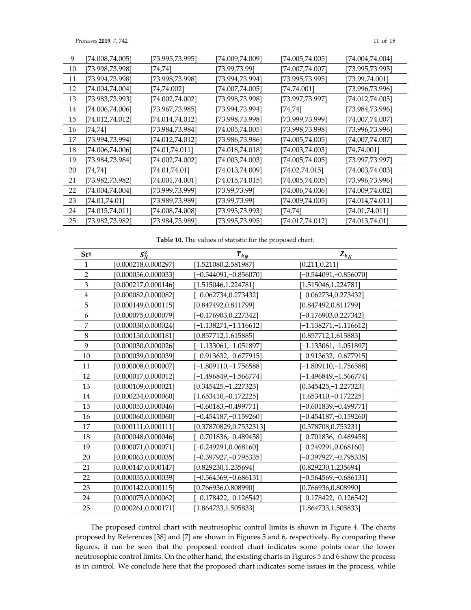*Processes* **2019**, 7, 742 11 of 15

| 10<br>[73.998,73.998]<br>[74.007,74.007]<br>[73.99,73.99]<br>[73.995,73.995]<br>[74,74]<br>11<br>[73.994,73.998]<br>[73.998,73.998]<br>[73.995,73.995]<br>[73.994,73.994]<br>[73.99, 74.001] |  |
|----------------------------------------------------------------------------------------------------------------------------------------------------------------------------------------------|--|
|                                                                                                                                                                                              |  |
|                                                                                                                                                                                              |  |
| 12<br>[74.004,74.004]<br>[74.007,74.005]<br>[74,74.002]<br>[74,74.001]<br>[73.996,73.996]                                                                                                    |  |
| 13<br>[73.983,73.993]<br>[74.002,74.002]<br>[73.998,73.998]<br>[73.997,73.997]<br>[74.012, 74.005]                                                                                           |  |
| 14<br>[74.006,74.006]<br>[73.967,73.985]<br>[73.994,73.994]<br>[73.984,73.996]<br>[74,74]                                                                                                    |  |
| 15<br>[74.012,74.012]<br>[74.014, 74.012]<br>[73.998,73.998]<br>[74.007, 74.007]<br>[73.999,73.999]                                                                                          |  |
| 16<br>[73.984,73.984]<br>[74.005,74.005]<br>[74,74]<br>[73.998,73.998]<br>[73.996,73.996]                                                                                                    |  |
| 17<br>[73.994,73.994]<br>[74.012,74.012]<br>[73.986,73.986]<br>[74.005,74.005]<br>[74.007,74.007]                                                                                            |  |
| 18<br>[74.006, 74.006]<br>[74.01, 74.011]<br>[74.018,74.018]<br>[74.003,74.003]<br>[74,74.001]                                                                                               |  |
| 19<br>[73.984,73.984]<br>[74.003, 74.003]<br>[74.005,74.005]<br>[74.002,74.002]<br>[73.997,73.997]                                                                                           |  |
| 20<br>[74.01,74.01]<br>[74.013,74.009]<br>[74.003,74.003]<br>[74,74]<br>[74.02,74.015]                                                                                                       |  |
| 21<br>[73.982, 73.982]<br>[74.001, 74.001]<br>[74.015,74.015]<br>[74.005,74.005]<br>[73.996,73.996]                                                                                          |  |
| 22<br>[74.004,74.004]<br>[73.999,73.999]<br>[73.99,73.99]<br>[74.006,74.006]<br>[74.009,74.002]                                                                                              |  |
| 23<br>[74.01, 74.01]<br>[73.989,73.989]<br>[73.99,73.99]<br>[74.009,74.005]<br>[74.014,74.011]                                                                                               |  |
| 24<br>[74.008, 74.008]<br>[74.015,74.011]<br>[73.993,73.993]<br>[74.01, 74.011]<br>[74,74]                                                                                                   |  |
| 25<br>[73.982,73.982]<br>[73.984,73.989]<br>[74.017,74.012]<br>[73.995,73.995]<br>[74.013,74.01]                                                                                             |  |

**Table 10.** The values of statistic for the proposed chart.

| Sr#            | $S_N^2$              | $T_{k_N}$                | $Z_{k_{N}}$              |
|----------------|----------------------|--------------------------|--------------------------|
| 1              | [0.000218, 0.000297] | [1.521080, 2.581987]     | [0.211, 0.211]           |
| $\overline{2}$ | [0.000056, 0.000033] | $-0.544091, -0.856070$   | $[-0.544091,-0.856070]$  |
| 3              | [0.000217, 0.000146] | [1.515046, 1.224781]     | [1.515046, 1.224781]     |
| $\overline{4}$ | [0.000082, 0.000082] | $[-0.062734, 0.273432]$  | $[-0.062734, 0.273432]$  |
| 5              | [0.000149, 0.000115] | [0.847492,0.811799]      | [0.847492, 0.811799]     |
| 6              | [0.000075, 0.000079] | $[-0.176903, 0.227342]$  | $[-0.176903, 0.227342]$  |
| 7              | [0.000030,0.000024]  | $[-1.138271,-1.116612]$  | $[-1.138271,-1.116612]$  |
| 8              | [0.000150, 0.000181] | [0.857712, 1.615885]     | [0.857712, 1.615885]     |
| 9              | [0.000030, 0.000026] | $-1.133061, -1.051897$   | $[-1.133061,-1.051897]$  |
| 10             | [0.000039,0.000039]  | $-0.913632, -0.677915$   | $[-0.913632,-0.677915]$  |
| 11             | [0.000008, 0.000007] | $[-1.809110,-1.756588]$  | $[-1.809110,-1.756588]$  |
| 12             | [0.000017, 0.000012] | $[-1.496849, -1.566774]$ | $[-1.496849, -1.566774]$ |
| 13             | [0.000109, 0.000021] | $[0.345425, -1.227323]$  | $[0.345425, -1.227323]$  |
| 14             | [0.000234, 0.000060] | $[1.653410,-0.172225]$   | $[1.653410,-0.172225]$   |
| 15             | [0.000053, 0.000046] | $-0.60183, -0.499771$    | $[-0.601839,-0.499771]$  |
| 16             | [0.000060, 0.000060] | $[-0.454187, -0.159260]$ | $[-0.454187, -0.159260]$ |
| 17             | [0.000111, 0.000111] | [0.37870829,0.7532313]   | [0.378708, 0.753231]     |
| 18             | [0.000048, 0.000046] | $[-0.701836,-0.489458]$  | $[-0.701836,-0.489458]$  |
| 19             | [0.000071,0.000071]  | [–0.249291,0.068160]     | $[-0.249291, 0.068160]$  |
| 20             | [0.000063, 0.000035] | [–0.397927,–0.795335]    | [-0.397927,-0.795335]    |
| 21             | [0.000147, 0.000147] | [0.829230,1.235694]      | [0.829230, 1.235694]     |
| 22             | [0.000055, 0.000039] | $-0.564569,-0.686131]$   | $[-0.564569, -0.686131]$ |
| 23             | [0.000142, 0.000115] | [0.766936,0.808990]      | [0.766936, 0.808990]     |
| 24             | [0.000075, 0.000062] | $[-0.178422,-0.126542]$  | $[-0.178422,-0.126542]$  |
| 25             | [0.000261, 0.000171] | [1.864733, 1.505833]     | [1.864733, 1.505833]     |

The proposed control chart with neutrosophic control limits is shown in Figure 4. The charts proposed by References [38] and [7] are shown in Figures 5 and 6, respectively. By comparing these figures, it can be seen that the proposed control chart indicates some points near the lower neutrosophic control limits. On the other hand, the existing charts in Figures 5 and 6 show the process is in control. We conclude here that the proposed chart indicates some issues in the process, while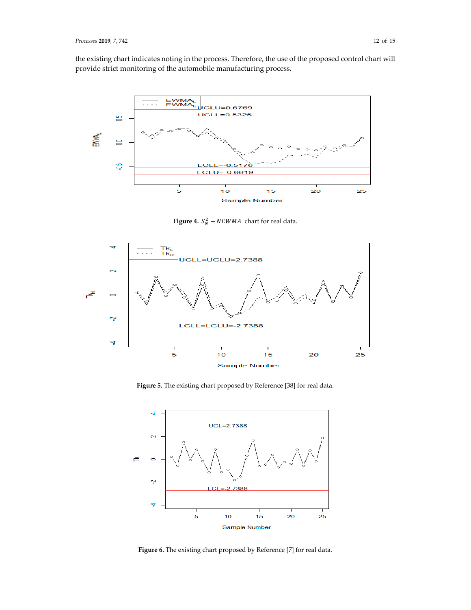the existing chart indicates noting in the process. Therefore, the use of the proposed control chart will provide strict monitoring of the automobile manufacturing process.



**Figure 4.**  $S_N^2$  –  $NEWMA$  chart for real data.



**Figure 5.** The existing chart proposed by Reference [38] for real data.



Figure 6. The existing chart proposed by Reference [7] for real data.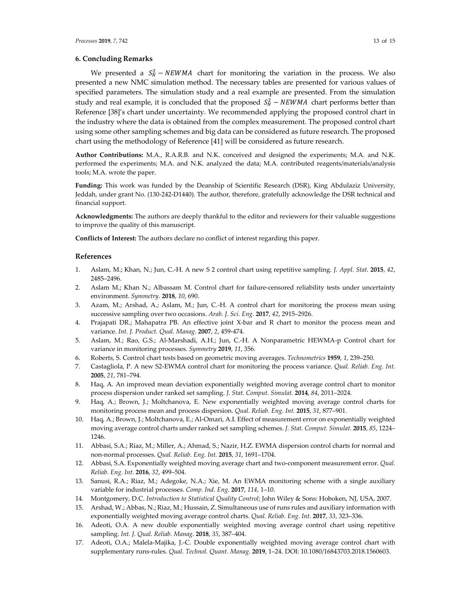### **6. Concluding Remarks**

We presented a  $S_N^2$  – NEWMA chart for monitoring the variation in the process. We also presented a new NMC simulation method. The necessary tables are presented for various values of specified parameters. The simulation study and a real example are presented. From the simulation study and real example, it is concluded that the proposed  $S_N^2 - NEWMA$  chart performs better than Reference [38]'s chart under uncertainty. We recommended applying the proposed control chart in the industry where the data is obtained from the complex measurement. The proposed control chart using some other sampling schemes and big data can be considered as future research. The proposed chart using the methodology of Reference [41] will be considered as future research.

**Author Contributions:** M.A., R.A.R.B. and N.K. conceived and designed the experiments; M.A. and N.K. performed the experiments; M.A. and N.K. analyzed the data; M.A. contributed reagents/materials/analysis tools; M.A. wrote the paper.

**Funding:** This work was funded by the Deanship of Scientific Research (DSR), King Abdulaziz University, Jeddah, under grant No. (130-242-D1440). The author, therefore, gratefully acknowledge the DSR technical and financial support.

**Acknowledgments:** The authors are deeply thankful to the editor and reviewers for their valuable suggestions to improve the quality of this manuscript.

**Conflicts of Interest:** The authors declare no conflict of interest regarding this paper.

#### **References**

- 1. Aslam, M.; Khan, N.; Jun, C.-H. A new S 2 control chart using repetitive sampling. *J. Appl. Stat.* **2015**, *42*, 2485–2496.
- 2. Aslam M.; Khan N.; Albassam M. Control chart for failure-censored reliability tests under uncertainty environment. *Symmetry*. **2018**, *10*, 690.
- 3. Azam, M.; Arshad, A.; Aslam, M.; Jun, C.-H. A control chart for monitoring the process mean using successive sampling over two occasions. *Arab. J. Sci. Eng.* **2017**, *42*, 2915–2926.
- 4. Prajapati DR.; Mahapatra PB. An effective joint X-bar and R chart to monitor the process mean and variance. *Int. J. Product. Qual. Manag*. **2007**, *2*, 459-474.
- 5. Aslam, M.; Rao, G.S.; Al-Marshadi, A.H.; Jun, C.-H. A Nonparametric HEWMA-p Control chart for variance in monitoring processes. *Symmetry* **2019**, *11*, 356.
- 6. Roberts, S. Control chart tests based on geometric moving averages. *Technometrics* **1959**, *1*, 239–250.
- 7. Castagliola, P. A new S2-EWMA control chart for monitoring the process variance. *Qual. Reliab. Eng. Int.* **2005**, *21*, 781–794.
- 8. Haq, A. An improved mean deviation exponentially weighted moving average control chart to monitor process dispersion under ranked set sampling. *J. Stat. Comput. Simulat.* **2014**, *84*, 2011–2024.
- 9. Haq, A.; Brown, J.; Moltchanova, E. New exponentially weighted moving average control charts for monitoring process mean and process dispersion. *Qual. Reliab. Eng. Int.* **2015**, *31*, 877–901.
- 10. Haq, A.; Brown, J.; Moltchanova, E.; Al-Omari, A.I. Effect of measurement error on exponentially weighted moving average control charts under ranked set sampling schemes. *J. Stat. Comput. Simulat.* **2015**, *85*, 1224– 1246.
- 11. Abbasi, S.A.; Riaz, M.; Miller, A.; Ahmad, S.; Nazir, H.Z. EWMA dispersion control charts for normal and non-normal processes. *Qual. Reliab. Eng. Int.* **2015**, *31*, 1691–1704.
- 12. Abbasi, S.A. Exponentially weighted moving average chart and two-component measurement error. *Qual. Reliab. Eng. Int.* **2016**, *32*, 499–504.
- 13. Sanusi, R.A.; Riaz, M.; Adegoke, N.A.; Xie, M. An EWMA monitoring scheme with a single auxiliary variable for industrial processes. *Comp. Ind. Eng.* **2017**, *114*, 1–10.
- 14. Montgomery, D.C. *Introduction to Statistical Quality Control*; John Wiley & Sons: Hoboken, NJ, USA, 2007.
- 15. Arshad, W.; Abbas, N.; Riaz, M.; Hussain, Z. Simultaneous use of runs rules and auxiliary information with exponentially weighted moving average control charts. *Qual. Reliab. Eng. Int.* **2017**, *33*, 323–336.
- 16. Adeoti, O.A. A new double exponentially weighted moving average control chart using repetitive sampling. *Int. J. Qual. Reliab. Manag.* **2018**, *35*, 387–404.
- 17. Adeoti, O.A.; Malela-Majika, J.-C. Double exponentially weighted moving average control chart with supplementary runs-rules. *Qual. Technol. Quant. Manag.* **2019**, 1–24. DOI: 10.1080/16843703.2018.1560603.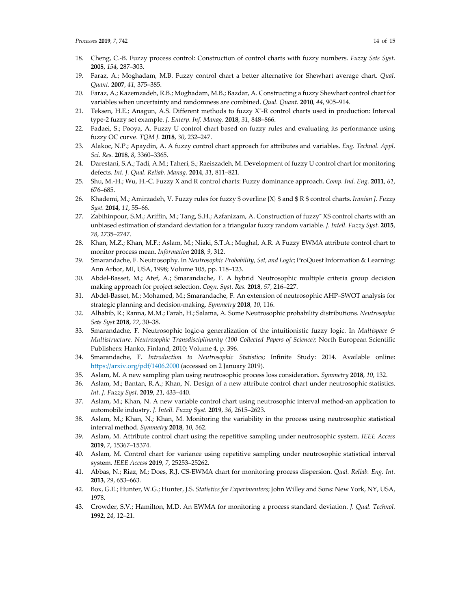- 18. Cheng, C.-B. Fuzzy process control: Construction of control charts with fuzzy numbers. *Fuzzy Sets Syst.*  **2005**, *154*, 287–303.
- 19. Faraz, A.; Moghadam, M.B. Fuzzy control chart a better alternative for Shewhart average chart. *Qual. Quant.* **2007**, *41*, 375–385.
- 20. Faraz, A.; Kazemzadeh, R.B.; Moghadam, M.B.; Bazdar, A. Constructing a fuzzy Shewhart control chart for variables when uncertainty and randomness are combined. *Qual. Quant.* **2010**, *44*, 905–914.
- 21. Teksen, H.E.; Anagun, A.S. Different methods to fuzzy  $X<sup>-</sup>R$  control charts used in production: Interval type-2 fuzzy set example. *J. Enterp. Inf. Manag.* **2018**, *31*, 848–866.
- 22. Fadaei, S.; Pooya, A. Fuzzy U control chart based on fuzzy rules and evaluating its performance using fuzzy OC curve. *TQM J.* **2018**, *30*, 232–247.
- 23. Alakoc, N.P.; Apaydin, A. A fuzzy control chart approach for attributes and variables. *Eng. Technol. Appl. Sci. Res.* **2018**, *8*, 3360–3365.
- 24. Darestani, S.A.; Tadi, A.M.; Taheri, S.; Raeiszadeh, M. Development of fuzzy U control chart for monitoring defects. *Int. J. Qual. Reliab. Manag.* **2014**, *31*, 811–821.
- 25. Shu, M.-H.; Wu, H.-C. Fuzzy X and R control charts: Fuzzy dominance approach. *Comp. Ind. Eng.* **2011**, *61*, 676–685.
- 26. Khademi, M.; Amirzadeh, V. Fuzzy rules for fuzzy \$ overline {X} \$ and \$ R \$ control charts. *Iranian J. Fuzzy Syst.* **2014**, *11*, 55–66.
- 27. Zabihinpour, S.M.; Ariffin, M.; Tang, S.H.; Azfanizam, A. Construction of fuzzy¯ XS control charts with an unbiased estimation of standard deviation for a triangular fuzzy random variable. *J. Intell. Fuzzy Syst.* **2015**, *28*, 2735–2747.
- 28. Khan, M.Z.; Khan, M.F.; Aslam, M.; Niaki, S.T.A.; Mughal, A.R. A Fuzzy EWMA attribute control chart to monitor process mean. *Information* **2018**, *9*, 312.
- 29. Smarandache, F. Neutrosophy. In *Neutrosophic Probability, Set, and Logic*; ProQuest Information & Learning: Ann Arbor, MI, USA, 1998; Volume 105, pp. 118–123.
- 30. Abdel-Basset, M.; Atef, A.; Smarandache, F. A hybrid Neutrosophic multiple criteria group decision making approach for project selection. *Cogn. Syst. Res.* **2018**, *57*, 216–227.
- 31. Abdel-Basset, M.; Mohamed, M.; Smarandache, F. An extension of neutrosophic AHP–SWOT analysis for strategic planning and decision-making. *Symmetry* **2018**, *10*, 116.
- 32. Alhabib, R.; Ranna, M.M.; Farah, H.; Salama, A. Some Neutrosophic probability distributions. *Neutrosophic Sets Syst* **2018**, *22*, 30–38.
- 33. Smarandache, F. Neutrosophic logic-a generalization of the intuitionistic fuzzy logic. In *Multispace & Multistructure. Neutrosophic Transdisciplinarity (100 Collected Papers of Science);* North European Scientific Publishers: Hanko, Finland, 2010; Volume 4, p. 396.
- 34. Smarandache, F. *Introduction to Neutrosophic Statistics*; Infinite Study: 2014. Available online: https://arxiv.org/pdf/1406.2000 (accessed on 2 January 2019).
- 35. Aslam, M. A new sampling plan using neutrosophic process loss consideration. *Symmetry* **2018**, *10*, 132.
- 36. Aslam, M.; Bantan, R.A.; Khan, N. Design of a new attribute control chart under neutrosophic statistics. *Int. J. Fuzzy Syst.* **2019**, *21*, 433–440.
- 37. Aslam, M.; Khan, N. A new variable control chart using neutrosophic interval method-an application to automobile industry. *J. Intell. Fuzzy Syst.* **2019**, *36*, 2615–2623.
- 38. Aslam, M.; Khan, N.; Khan, M. Monitoring the variability in the process using neutrosophic statistical interval method. *Symmetry* **2018**, *10*, 562.
- 39. Aslam, M. Attribute control chart using the repetitive sampling under neutrosophic system. *IEEE Access*  **2019**, *7*, 15367–15374.
- 40. Aslam, M. Control chart for variance using repetitive sampling under neutrosophic statistical interval system. *IEEE Access* **2019**, *7*, 25253–25262.
- 41. Abbas, N.; Riaz, M.; Does, R.J. CS-EWMA chart for monitoring process dispersion. *Qual. Reliab. Eng. Int.*  **2013**, *29*, 653–663.
- 42. Box, G.E.; Hunter, W.G.; Hunter, J.S. *Statistics for Experimenters*; John Willey and Sons: New York, NY, USA, 1978.
- 43. Crowder, S.V.; Hamilton, M.D. An EWMA for monitoring a process standard deviation. *J. Qual. Technol.* **1992**, *24*, 12–21.